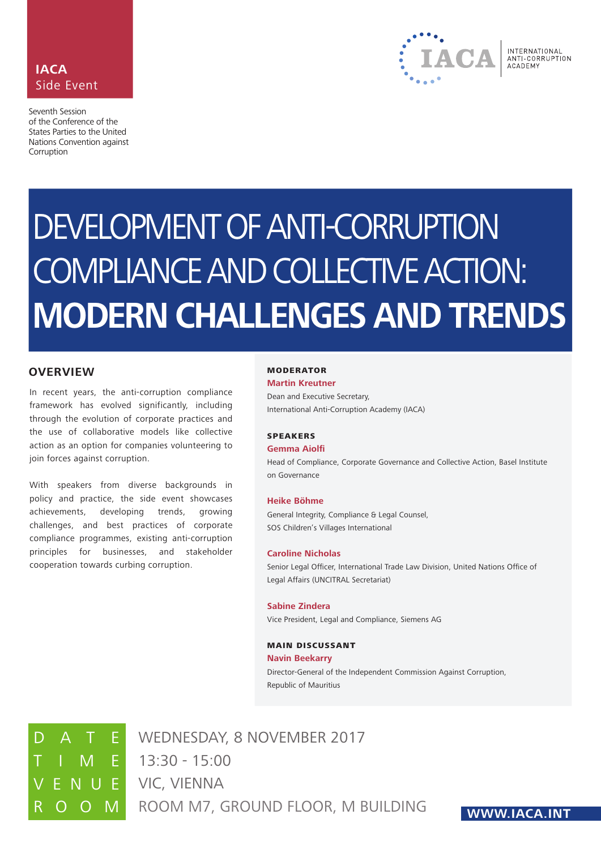



# DEVELOPMENT OF ANTI-CORRUPTION COMPLIANCE AND COLLECTIVE ACTION: **MODERN CHALLENGES AND TRENDS**

# **OVERVIEW**

In recent years, the anti-corruption compliance framework has evolved significantly, including through the evolution of corporate practices and the use of collaborative models like collective action as an option for companies volunteering to join forces against corruption.

With speakers from diverse backgrounds in policy and practice, the side event showcases achievements, developing trends, growing challenges, and best practices of corporate compliance programmes, existing anti-corruption principles for businesses, and stakeholder cooperation towards curbing corruption.

#### MODERATOR

**Martin Kreutner**

Dean and Executive Secretary, International Anti-Corruption Academy (IACA)

#### SPEAKERS

#### **Gemma Aiolfi**

Head of Compliance, Corporate Governance and Collective Action, Basel Institute on Governance

#### **Heike Böhme**

General Integrity, Compliance & Legal Counsel, SOS Children's Villages International

#### **Caroline Nicholas**

Senior Legal Officer, International Trade Law Division, United Nations Office of Legal Affairs (UNCITRAL Secretariat)

#### **Sabine Zindera** Vice President, Legal and Compliance, Siemens AG

# MAIN DISCUSSANT

#### **Navin Beekarry**

Director-General of the Independent Commission Against Corruption, Republic of Mauritius

TIME 13:30 - 15:00 R O O M ROOM M7, GROUND FLOOR, M BUILDING E VIC, VIENNA WEDNESDAY, 8 NOVEMBER 2017

# **WWW.IACA.INT**